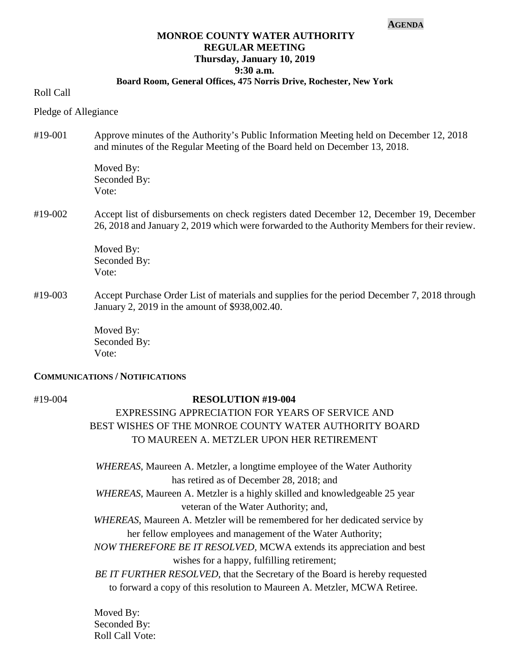#### **AGENDA**

## **MONROE COUNTY WATER AUTHORITY REGULAR MEETING Thursday, January 10, 2019 9:30 a.m.**

## **Board Room, General Offices, 475 Norris Drive, Rochester, New York**

Roll Call

Pledge of Allegiance

#19-001 Approve minutes of the Authority's Public Information Meeting held on December 12, 2018 and minutes of the Regular Meeting of the Board held on December 13, 2018.

> Moved By: Seconded By: Vote:

#19-002 Accept list of disbursements on check registers dated December 12, December 19, December 26, 2018 and January 2, 2019 which were forwarded to the Authority Members for their review.

> Moved By: Seconded By: Vote:

#19-003 Accept Purchase Order List of materials and supplies for the period December 7, 2018 through January 2, 2019 in the amount of \$938,002.40.

> Moved By: Seconded By: Vote:

### **COMMUNICATIONS / NOTIFICATIONS**

#### #19-004 **RESOLUTION #19-004**

# EXPRESSING APPRECIATION FOR YEARS OF SERVICE AND BEST WISHES OF THE MONROE COUNTY WATER AUTHORITY BOARD TO MAUREEN A. METZLER UPON HER RETIREMENT

 *WHEREAS*, Maureen A. Metzler, a longtime employee of the Water Authority has retired as of December 28, 2018; and

 *WHEREAS*, Maureen A. Metzler is a highly skilled and knowledgeable 25 year veteran of the Water Authority; and,

- *WHEREAS*, Maureen A. Metzler will be remembered for her dedicated service by her fellow employees and management of the Water Authority;
- *NOW THEREFORE BE IT RESOLVED,* MCWA extends its appreciation and best wishes for a happy, fulfilling retirement;

 *BE IT FURTHER RESOLVED*, that the Secretary of the Board is hereby requested to forward a copy of this resolution to Maureen A. Metzler, MCWA Retiree.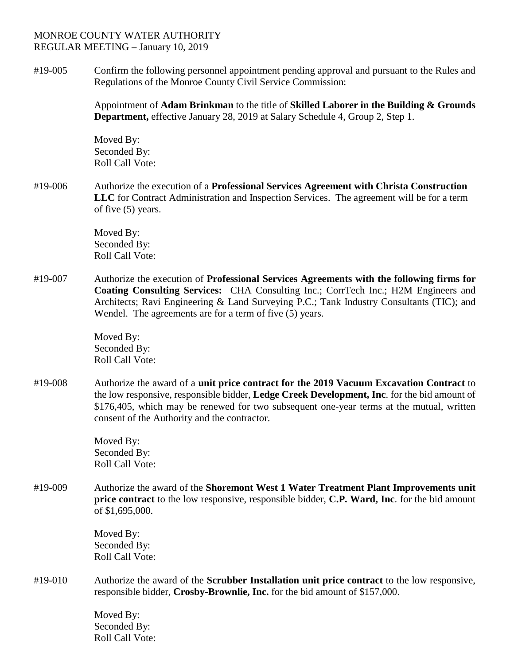## MONROE COUNTY WATER AUTHORITY REGULAR MEETING – January 10, 2019

#19-005 Confirm the following personnel appointment pending approval and pursuant to the Rules and Regulations of the Monroe County Civil Service Commission:

> Appointment of **Adam Brinkman** to the title of **Skilled Laborer in the Building & Grounds Department,** effective January 28, 2019 at Salary Schedule 4, Group 2, Step 1.

Moved By: Seconded By: Roll Call Vote:

#19-006 Authorize the execution of a **Professional Services Agreement with Christa Construction LLC** for Contract Administration and Inspection Services. The agreement will be for a term of five (5) years.

> Moved By: Seconded By: Roll Call Vote:

#19-007 Authorize the execution of **Professional Services Agreements with the following firms for Coating Consulting Services:** CHA Consulting Inc.; CorrTech Inc.; H2M Engineers and Architects; Ravi Engineering & Land Surveying P.C.; Tank Industry Consultants (TIC); and Wendel. The agreements are for a term of five (5) years.

> Moved By: Seconded By: Roll Call Vote:

#19-008 Authorize the award of a **unit price contract for the 2019 Vacuum Excavation Contract** to the low responsive, responsible bidder, **Ledge Creek Development, Inc**. for the bid amount of \$176,405, which may be renewed for two subsequent one-year terms at the mutual, written consent of the Authority and the contractor.

> Moved By: Seconded By: Roll Call Vote:

#19-009 Authorize the award of the **Shoremont West 1 Water Treatment Plant Improvements unit price contract** to the low responsive, responsible bidder, **C.P. Ward, Inc**. for the bid amount of \$1,695,000.

> Moved By: Seconded By: Roll Call Vote:

#19-010 Authorize the award of the **Scrubber Installation unit price contract** to the low responsive, responsible bidder, **Crosby-Brownlie, Inc.** for the bid amount of \$157,000.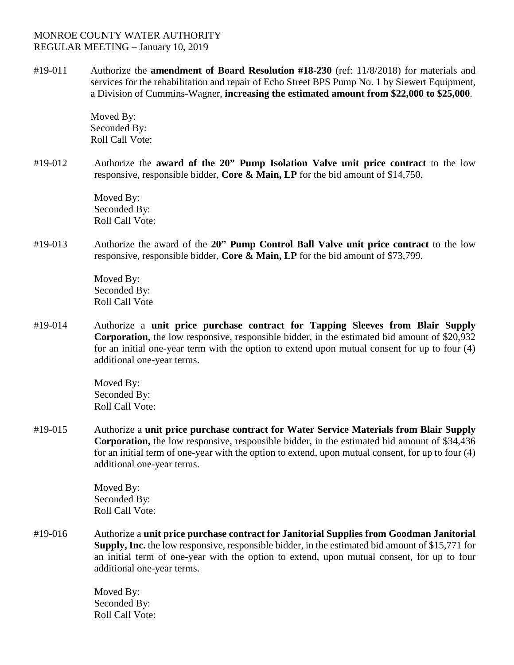## MONROE COUNTY WATER AUTHORITY REGULAR MEETING – January 10, 2019

#19-011 Authorize the **amendment of Board Resolution #18-230** (ref: 11/8/2018) for materials and services for the rehabilitation and repair of Echo Street BPS Pump No. 1 by Siewert Equipment, a Division of Cummins-Wagner, **increasing the estimated amount from \$22,000 to \$25,000**.

> Moved By: Seconded By: Roll Call Vote:

#19-012 Authorize the **award of the 20" Pump Isolation Valve unit price contract** to the low responsive, responsible bidder, **Core & Main, LP** for the bid amount of \$14,750.

> Moved By: Seconded By: Roll Call Vote:

#19-013 Authorize the award of the **20" Pump Control Ball Valve unit price contract** to the low responsive, responsible bidder, **Core & Main, LP** for the bid amount of \$73,799.

> Moved By: Seconded By: Roll Call Vote

#19-014 Authorize a **unit price purchase contract for Tapping Sleeves from Blair Supply Corporation,** the low responsive, responsible bidder, in the estimated bid amount of \$20,932 for an initial one-year term with the option to extend upon mutual consent for up to four (4) additional one-year terms.

> Moved By: Seconded By: Roll Call Vote:

#19-015 Authorize a **unit price purchase contract for Water Service Materials from Blair Supply Corporation,** the low responsive, responsible bidder, in the estimated bid amount of \$34,436 for an initial term of one-year with the option to extend, upon mutual consent, for up to four (4) additional one-year terms.

> Moved By: Seconded By: Roll Call Vote:

#19-016 Authorize a **unit price purchase contract for Janitorial Supplies from Goodman Janitorial Supply, Inc.** the low responsive, responsible bidder, in the estimated bid amount of \$15,771 for an initial term of one-year with the option to extend, upon mutual consent, for up to four additional one-year terms.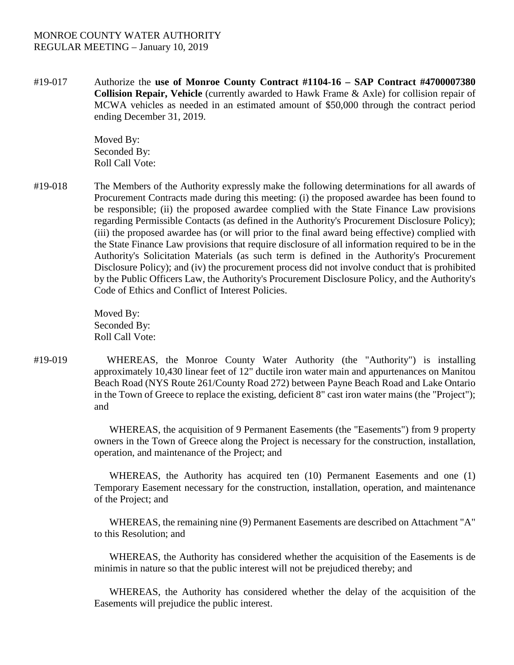## MONROE COUNTY WATER AUTHORITY REGULAR MEETING – January 10, 2019

#19-017 Authorize the **use of Monroe County Contract #1104-16 – SAP Contract #4700007380 Collision Repair, Vehicle** (currently awarded to Hawk Frame & Axle) for collision repair of MCWA vehicles as needed in an estimated amount of \$50,000 through the contract period ending December 31, 2019.

> Moved By: Seconded By: Roll Call Vote:

#19-018 The Members of the Authority expressly make the following determinations for all awards of Procurement Contracts made during this meeting: (i) the proposed awardee has been found to be responsible; (ii) the proposed awardee complied with the State Finance Law provisions regarding Permissible Contacts (as defined in the Authority's Procurement Disclosure Policy); (iii) the proposed awardee has (or will prior to the final award being effective) complied with the State Finance Law provisions that require disclosure of all information required to be in the Authority's Solicitation Materials (as such term is defined in the Authority's Procurement Disclosure Policy); and (iv) the procurement process did not involve conduct that is prohibited by the Public Officers Law, the Authority's Procurement Disclosure Policy, and the Authority's Code of Ethics and Conflict of Interest Policies.

> Moved By: Seconded By: Roll Call Vote:

#19-019 WHEREAS, the Monroe County Water Authority (the "Authority") is installing approximately 10,430 linear feet of 12" ductile iron water main and appurtenances on Manitou Beach Road (NYS Route 261/County Road 272) between Payne Beach Road and Lake Ontario in the Town of Greece to replace the existing, deficient 8" cast iron water mains (the "Project"); and

> WHEREAS, the acquisition of 9 Permanent Easements (the "Easements") from 9 property owners in the Town of Greece along the Project is necessary for the construction, installation, operation, and maintenance of the Project; and

> WHEREAS, the Authority has acquired ten (10) Permanent Easements and one (1) Temporary Easement necessary for the construction, installation, operation, and maintenance of the Project; and

> WHEREAS, the remaining nine (9) Permanent Easements are described on Attachment "A" to this Resolution; and

> WHEREAS, the Authority has considered whether the acquisition of the Easements is de minimis in nature so that the public interest will not be prejudiced thereby; and

> WHEREAS, the Authority has considered whether the delay of the acquisition of the Easements will prejudice the public interest.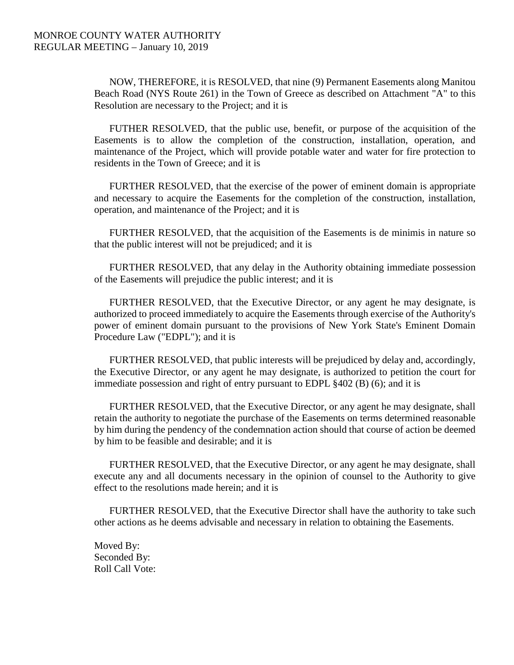NOW, THEREFORE, it is RESOLVED, that nine (9) Permanent Easements along Manitou Beach Road (NYS Route 261) in the Town of Greece as described on Attachment "A" to this Resolution are necessary to the Project; and it is

FUTHER RESOLVED, that the public use, benefit, or purpose of the acquisition of the Easements is to allow the completion of the construction, installation, operation, and maintenance of the Project, which will provide potable water and water for fire protection to residents in the Town of Greece; and it is

FURTHER RESOLVED, that the exercise of the power of eminent domain is appropriate and necessary to acquire the Easements for the completion of the construction, installation, operation, and maintenance of the Project; and it is

FURTHER RESOLVED, that the acquisition of the Easements is de minimis in nature so that the public interest will not be prejudiced; and it is

FURTHER RESOLVED, that any delay in the Authority obtaining immediate possession of the Easements will prejudice the public interest; and it is

FURTHER RESOLVED, that the Executive Director, or any agent he may designate, is authorized to proceed immediately to acquire the Easements through exercise of the Authority's power of eminent domain pursuant to the provisions of New York State's Eminent Domain Procedure Law ("EDPL"); and it is

FURTHER RESOLVED, that public interests will be prejudiced by delay and, accordingly, the Executive Director, or any agent he may designate, is authorized to petition the court for immediate possession and right of entry pursuant to EDPL §402 (B) (6); and it is

FURTHER RESOLVED, that the Executive Director, or any agent he may designate, shall retain the authority to negotiate the purchase of the Easements on terms determined reasonable by him during the pendency of the condemnation action should that course of action be deemed by him to be feasible and desirable; and it is

FURTHER RESOLVED, that the Executive Director, or any agent he may designate, shall execute any and all documents necessary in the opinion of counsel to the Authority to give effect to the resolutions made herein; and it is

FURTHER RESOLVED, that the Executive Director shall have the authority to take such other actions as he deems advisable and necessary in relation to obtaining the Easements.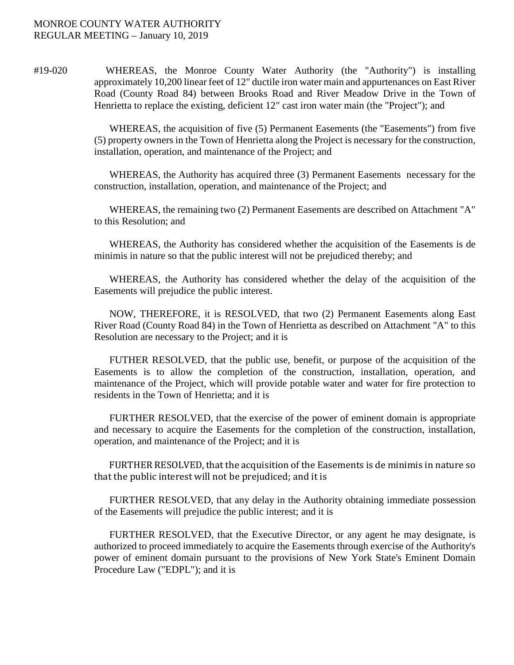#19-020 WHEREAS, the Monroe County Water Authority (the "Authority") is installing approximately 10,200 linear feet of 12" ductile iron water main and appurtenances on East River Road (County Road 84) between Brooks Road and River Meadow Drive in the Town of Henrietta to replace the existing, deficient 12" cast iron water main (the "Project"); and

> WHEREAS, the acquisition of five (5) Permanent Easements (the "Easements") from five (5) property owners in the Town of Henrietta along the Project is necessary for the construction, installation, operation, and maintenance of the Project; and

> WHEREAS, the Authority has acquired three (3) Permanent Easements necessary for the construction, installation, operation, and maintenance of the Project; and

> WHEREAS, the remaining two (2) Permanent Easements are described on Attachment "A" to this Resolution; and

> WHEREAS, the Authority has considered whether the acquisition of the Easements is de minimis in nature so that the public interest will not be prejudiced thereby; and

> WHEREAS, the Authority has considered whether the delay of the acquisition of the Easements will prejudice the public interest.

> NOW, THEREFORE, it is RESOLVED, that two (2) Permanent Easements along East River Road (County Road 84) in the Town of Henrietta as described on Attachment "A" to this Resolution are necessary to the Project; and it is

> FUTHER RESOLVED, that the public use, benefit, or purpose of the acquisition of the Easements is to allow the completion of the construction, installation, operation, and maintenance of the Project, which will provide potable water and water for fire protection to residents in the Town of Henrietta; and it is

> FURTHER RESOLVED, that the exercise of the power of eminent domain is appropriate and necessary to acquire the Easements for the completion of the construction, installation, operation, and maintenance of the Project; and it is

> FURTHER RESOLVED, that the acquisition of the Easements is de minimis in nature so that the public interest will not be prejudiced; and it is

> FURTHER RESOLVED, that any delay in the Authority obtaining immediate possession of the Easements will prejudice the public interest; and it is

> FURTHER RESOLVED, that the Executive Director, or any agent he may designate, is authorized to proceed immediately to acquire the Easements through exercise of the Authority's power of eminent domain pursuant to the provisions of New York State's Eminent Domain Procedure Law ("EDPL"); and it is